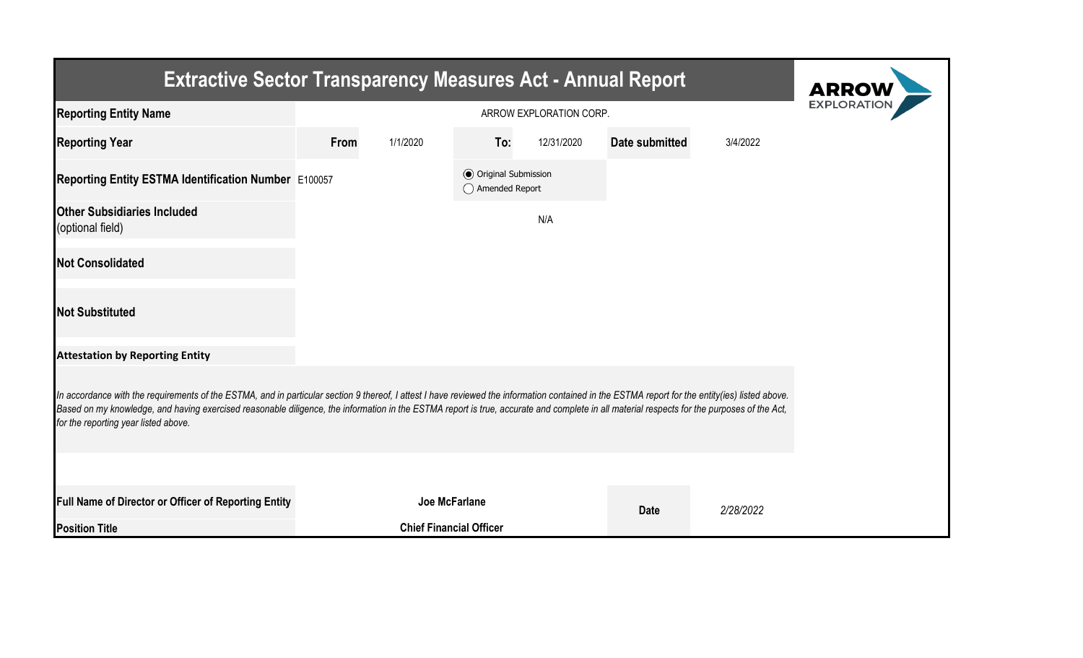| <b>Extractive Sector Transparency Measures Act - Annual Report</b>                                                                                                                                                                                                                                                                                                                                                                    | <b>ARROW</b>  |                                |                                                  |            |                |           |  |  |  |  |
|---------------------------------------------------------------------------------------------------------------------------------------------------------------------------------------------------------------------------------------------------------------------------------------------------------------------------------------------------------------------------------------------------------------------------------------|---------------|--------------------------------|--------------------------------------------------|------------|----------------|-----------|--|--|--|--|
| <b>Reporting Entity Name</b>                                                                                                                                                                                                                                                                                                                                                                                                          |               | <b>EXPLORATIO</b>              |                                                  |            |                |           |  |  |  |  |
| <b>Reporting Year</b>                                                                                                                                                                                                                                                                                                                                                                                                                 | From          | 1/1/2020                       | To:                                              | 12/31/2020 | Date submitted | 3/4/2022  |  |  |  |  |
| Reporting Entity ESTMA Identification Number E100057                                                                                                                                                                                                                                                                                                                                                                                  |               |                                | <b>◎</b> Original Submission<br>◯ Amended Report |            |                |           |  |  |  |  |
| <b>Other Subsidiaries Included</b><br>(optional field)                                                                                                                                                                                                                                                                                                                                                                                |               |                                |                                                  | N/A        |                |           |  |  |  |  |
| <b>Not Consolidated</b>                                                                                                                                                                                                                                                                                                                                                                                                               |               |                                |                                                  |            |                |           |  |  |  |  |
| <b>Not Substituted</b>                                                                                                                                                                                                                                                                                                                                                                                                                |               |                                |                                                  |            |                |           |  |  |  |  |
| <b>Attestation by Reporting Entity</b>                                                                                                                                                                                                                                                                                                                                                                                                |               |                                |                                                  |            |                |           |  |  |  |  |
| In accordance with the requirements of the ESTMA, and in particular section 9 thereof, I attest I have reviewed the information contained in the ESTMA report for the entity(ies) listed above.<br>Based on my knowledge, and having exercised reasonable diligence, the information in the ESTMA report is true, accurate and complete in all material respects for the purposes of the Act,<br>for the reporting year listed above. |               |                                |                                                  |            |                |           |  |  |  |  |
|                                                                                                                                                                                                                                                                                                                                                                                                                                       |               |                                |                                                  |            |                |           |  |  |  |  |
| Full Name of Director or Officer of Reporting Entity                                                                                                                                                                                                                                                                                                                                                                                  | Joe McFarlane |                                |                                                  |            | <b>Date</b>    | 2/28/2022 |  |  |  |  |
| <b>Position Title</b>                                                                                                                                                                                                                                                                                                                                                                                                                 |               | <b>Chief Financial Officer</b> |                                                  |            |                |           |  |  |  |  |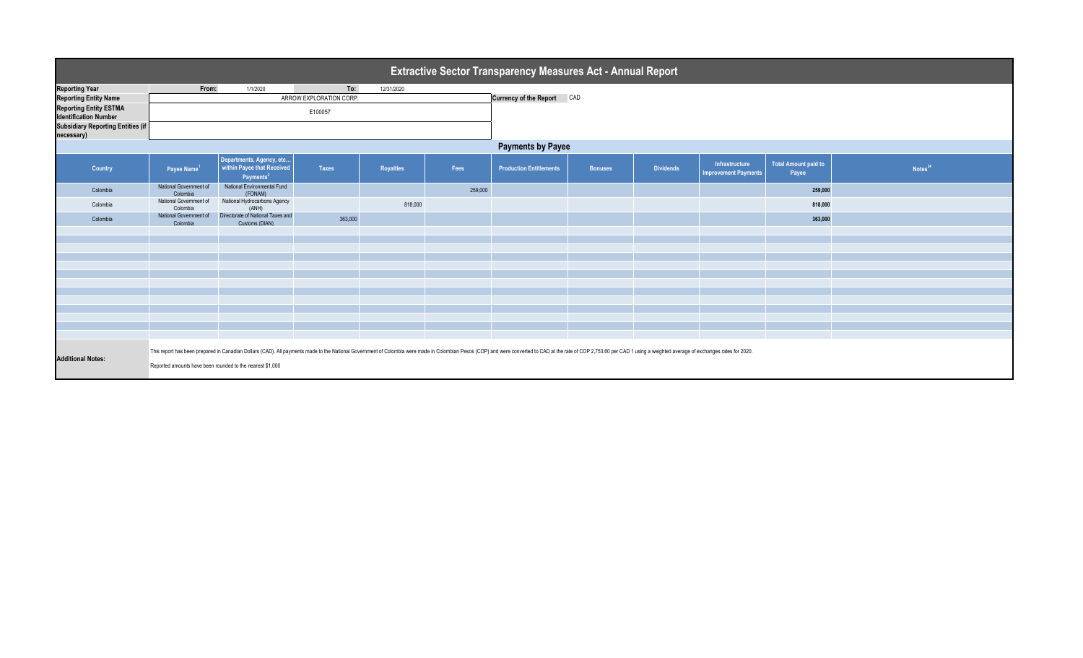| <b>Extractive Sector Transparency Measures Act - Annual Report</b> |                                                                                                                                                                                                                                                                                             |                                                                                 |              |                  |         |                                |                |                  |                                               |                                      |                     |  |  |
|--------------------------------------------------------------------|---------------------------------------------------------------------------------------------------------------------------------------------------------------------------------------------------------------------------------------------------------------------------------------------|---------------------------------------------------------------------------------|--------------|------------------|---------|--------------------------------|----------------|------------------|-----------------------------------------------|--------------------------------------|---------------------|--|--|
| <b>Reporting Year</b>                                              | From:                                                                                                                                                                                                                                                                                       | 1/1/2020                                                                        | To:          | 12/31/2020       |         |                                |                |                  |                                               |                                      |                     |  |  |
| <b>Reporting Entity Name</b>                                       | ARROW EXPLORATION CORP.                                                                                                                                                                                                                                                                     |                                                                                 |              |                  |         | Currency of the Report CAD     |                |                  |                                               |                                      |                     |  |  |
| <b>Reporting Entity ESTMA</b><br><b>Identification Number</b>      |                                                                                                                                                                                                                                                                                             |                                                                                 |              |                  |         |                                |                |                  |                                               |                                      |                     |  |  |
| <b>Subsidiary Reporting Entities (if</b><br>necessary)             |                                                                                                                                                                                                                                                                                             |                                                                                 |              |                  |         |                                |                |                  |                                               |                                      |                     |  |  |
|                                                                    | <b>Payments by Payee</b>                                                                                                                                                                                                                                                                    |                                                                                 |              |                  |         |                                |                |                  |                                               |                                      |                     |  |  |
| Country                                                            | Payee Name <sup>1</sup>                                                                                                                                                                                                                                                                     | Departments, Agency, etc<br>within Payee that Received<br>Payments <sup>2</sup> | <b>Taxes</b> | <b>Royalties</b> | Fees    | <b>Production Entitlements</b> | <b>Bonuses</b> | <b>Dividends</b> | Infrastructure<br><b>Improvement Payments</b> | <b>Total Amount paid to</b><br>Payee | Notes <sup>34</sup> |  |  |
| Colombia                                                           | National Government of<br>Colombia                                                                                                                                                                                                                                                          | National Environmental Fund<br>(FONAM)                                          |              |                  | 259,000 |                                |                |                  |                                               | 259,000                              |                     |  |  |
| Colombia                                                           | National Government of<br>Colombia                                                                                                                                                                                                                                                          | National Hydrocarbons Agency<br>(ANH)                                           |              | 818,000          |         |                                |                |                  |                                               | 818,000                              |                     |  |  |
| Colombia                                                           | National Government of<br>Colombia                                                                                                                                                                                                                                                          | Directorate of National Taxes and<br>Customs (DIAN)                             | 363,000      |                  |         |                                |                |                  |                                               | 363,000                              |                     |  |  |
|                                                                    |                                                                                                                                                                                                                                                                                             |                                                                                 |              |                  |         |                                |                |                  |                                               |                                      |                     |  |  |
|                                                                    |                                                                                                                                                                                                                                                                                             |                                                                                 |              |                  |         |                                |                |                  |                                               |                                      |                     |  |  |
|                                                                    |                                                                                                                                                                                                                                                                                             |                                                                                 |              |                  |         |                                |                |                  |                                               |                                      |                     |  |  |
|                                                                    |                                                                                                                                                                                                                                                                                             |                                                                                 |              |                  |         |                                |                |                  |                                               |                                      |                     |  |  |
|                                                                    |                                                                                                                                                                                                                                                                                             |                                                                                 |              |                  |         |                                |                |                  |                                               |                                      |                     |  |  |
|                                                                    |                                                                                                                                                                                                                                                                                             |                                                                                 |              |                  |         |                                |                |                  |                                               |                                      |                     |  |  |
|                                                                    |                                                                                                                                                                                                                                                                                             |                                                                                 |              |                  |         |                                |                |                  |                                               |                                      |                     |  |  |
|                                                                    |                                                                                                                                                                                                                                                                                             |                                                                                 |              |                  |         |                                |                |                  |                                               |                                      |                     |  |  |
|                                                                    |                                                                                                                                                                                                                                                                                             |                                                                                 |              |                  |         |                                |                |                  |                                               |                                      |                     |  |  |
|                                                                    |                                                                                                                                                                                                                                                                                             |                                                                                 |              |                  |         |                                |                |                  |                                               |                                      |                     |  |  |
| <b>Additional Notes:</b>                                           | This report has been prepared in Canadian Dollars (CAD). All payments made to the National Government of Colombia were made in Colombian Pesos (COP) and were converted to CAD at the rate of COP 2,753.60 per CAD 1 using a w<br>Reported amounts have been rounded to the nearest \$1,000 |                                                                                 |              |                  |         |                                |                |                  |                                               |                                      |                     |  |  |